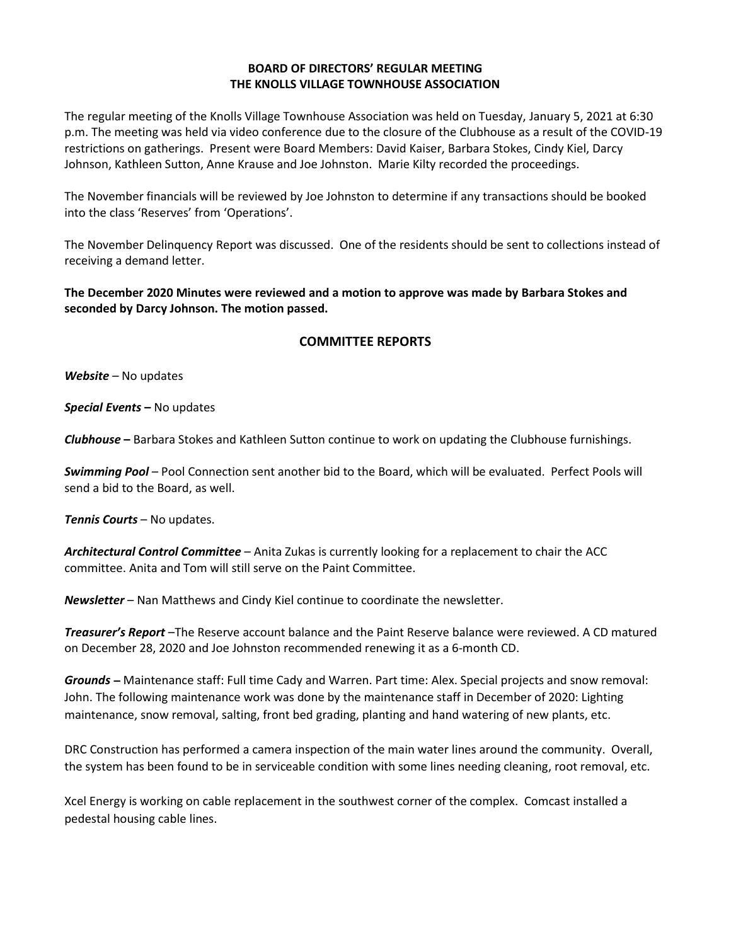## **BOARD OF DIRECTORS' REGULAR MEETING THE KNOLLS VILLAGE TOWNHOUSE ASSOCIATION**

The regular meeting of the Knolls Village Townhouse Association was held on Tuesday, January 5, 2021 at 6:30 p.m. The meeting was held via video conference due to the closure of the Clubhouse as a result of the COVID-19 restrictions on gatherings. Present were Board Members: David Kaiser, Barbara Stokes, Cindy Kiel, Darcy Johnson, Kathleen Sutton, Anne Krause and Joe Johnston. Marie Kilty recorded the proceedings.

The November financials will be reviewed by Joe Johnston to determine if any transactions should be booked into the class 'Reserves' from 'Operations'.

The November Delinquency Report was discussed. One of the residents should be sent to collections instead of receiving a demand letter.

**The December 2020 Minutes were reviewed and a motion to approve was made by Barbara Stokes and seconded by Darcy Johnson. The motion passed.**

## **COMMITTEE REPORTS**

*Website –* No updates

*Special Events* **–** No updates

*Clubhouse* **–** Barbara Stokes and Kathleen Sutton continue to work on updating the Clubhouse furnishings.

*Swimming Pool* – Pool Connection sent another bid to the Board, which will be evaluated. Perfect Pools will send a bid to the Board, as well.

*Tennis Courts* – No updates.

*Architectural Control Committee* – Anita Zukas is currently looking for a replacement to chair the ACC committee. Anita and Tom will still serve on the Paint Committee.

*Newsletter* – Nan Matthews and Cindy Kiel continue to coordinate the newsletter.

*Treasurer's Report* –The Reserve account balance and the Paint Reserve balance were reviewed. A CD matured on December 28, 2020 and Joe Johnston recommended renewing it as a 6-month CD.

*Grounds* **–** Maintenance staff: Full time Cady and Warren. Part time: Alex. Special projects and snow removal: John. The following maintenance work was done by the maintenance staff in December of 2020: Lighting maintenance, snow removal, salting, front bed grading, planting and hand watering of new plants, etc.

DRC Construction has performed a camera inspection of the main water lines around the community. Overall, the system has been found to be in serviceable condition with some lines needing cleaning, root removal, etc.

Xcel Energy is working on cable replacement in the southwest corner of the complex. Comcast installed a pedestal housing cable lines.